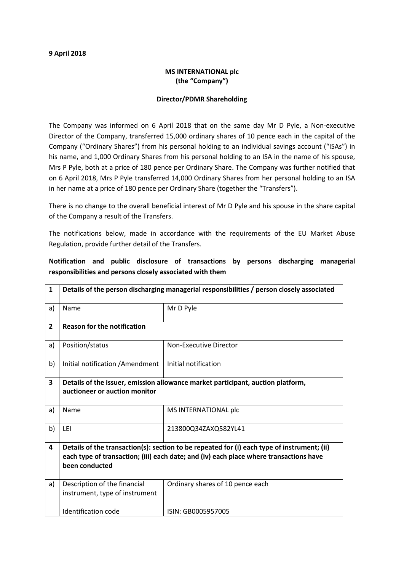#### 9 April 2018

## MS INTERNATIONAL plc (the "Company")

#### Director/PDMR Shareholding

The Company was informed on 6 April 2018 that on the same day Mr D Pyle, a Non-executive Director of the Company, transferred 15,000 ordinary shares of 10 pence each in the capital of the Company ("Ordinary Shares") from his personal holding to an individual savings account ("ISAs") in his name, and 1,000 Ordinary Shares from his personal holding to an ISA in the name of his spouse, Mrs P Pyle, both at a price of 180 pence per Ordinary Share. The Company was further notified that on 6 April 2018, Mrs P Pyle transferred 14,000 Ordinary Shares from her personal holding to an ISA in her name at a price of 180 pence per Ordinary Share (together the "Transfers").

There is no change to the overall beneficial interest of Mr D Pyle and his spouse in the share capital of the Company a result of the Transfers.

The notifications below, made in accordance with the requirements of the EU Market Abuse Regulation, provide further detail of the Transfers.

# Notification and public disclosure of transactions by persons discharging managerial responsibilities and persons closely associated with them

| 1              | Details of the person discharging managerial responsibilities / person closely associated                                                                                                               |                                  |  |
|----------------|---------------------------------------------------------------------------------------------------------------------------------------------------------------------------------------------------------|----------------------------------|--|
| a)             | Name                                                                                                                                                                                                    | Mr D Pyle                        |  |
| $\overline{2}$ | <b>Reason for the notification</b>                                                                                                                                                                      |                                  |  |
| a)             | Position/status                                                                                                                                                                                         | Non-Executive Director           |  |
| b)             | Initial notification / Amendment                                                                                                                                                                        | Initial notification             |  |
| 3              | Details of the issuer, emission allowance market participant, auction platform,<br>auctioneer or auction monitor                                                                                        |                                  |  |
| a)             | Name                                                                                                                                                                                                    | MS INTERNATIONAL plc             |  |
| b)             | LEI                                                                                                                                                                                                     | 213800Q34ZAXQ582YL41             |  |
| 4              | Details of the transaction(s): section to be repeated for (i) each type of instrument; (ii)<br>each type of transaction; (iii) each date; and (iv) each place where transactions have<br>been conducted |                                  |  |
| a)             | Description of the financial<br>instrument, type of instrument                                                                                                                                          | Ordinary shares of 10 pence each |  |
|                | Identification code                                                                                                                                                                                     | ISIN: GB0005957005               |  |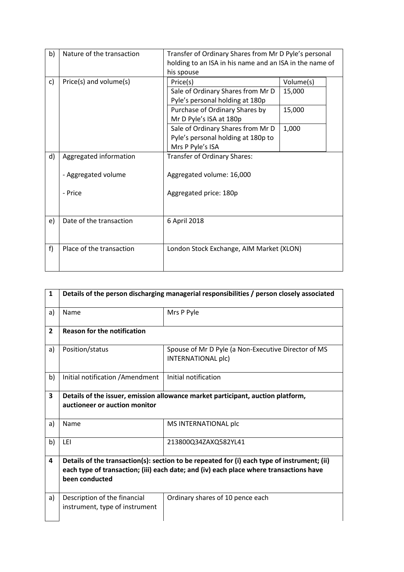| b) | Nature of the transaction | Transfer of Ordinary Shares from Mr D Pyle's personal   |           |  |
|----|---------------------------|---------------------------------------------------------|-----------|--|
|    |                           | holding to an ISA in his name and an ISA in the name of |           |  |
|    |                           | his spouse                                              |           |  |
| c) | Price(s) and volume(s)    | Price(s)                                                | Volume(s) |  |
|    |                           | Sale of Ordinary Shares from Mr D                       | 15,000    |  |
|    |                           | Pyle's personal holding at 180p                         |           |  |
|    |                           | Purchase of Ordinary Shares by                          | 15,000    |  |
|    |                           | Mr D Pyle's ISA at 180p                                 |           |  |
|    |                           | Sale of Ordinary Shares from Mr D                       | 1,000     |  |
|    |                           | Pyle's personal holding at 180p to                      |           |  |
|    |                           | Mrs P Pyle's ISA                                        |           |  |
| d) | Aggregated information    | Transfer of Ordinary Shares:                            |           |  |
|    |                           |                                                         |           |  |
|    | - Aggregated volume       | Aggregated volume: 16,000                               |           |  |
|    |                           |                                                         |           |  |
|    | - Price                   | Aggregated price: 180p                                  |           |  |
|    |                           |                                                         |           |  |
|    |                           |                                                         |           |  |
| e) | Date of the transaction   | 6 April 2018                                            |           |  |
|    |                           |                                                         |           |  |
|    |                           |                                                         |           |  |
| f) | Place of the transaction  | London Stock Exchange, AIM Market (XLON)                |           |  |
|    |                           |                                                         |           |  |
|    |                           |                                                         |           |  |

| 1              | Details of the person discharging managerial responsibilities / person closely associated                                                                                                               |                                                                           |  |
|----------------|---------------------------------------------------------------------------------------------------------------------------------------------------------------------------------------------------------|---------------------------------------------------------------------------|--|
| a)             | Name                                                                                                                                                                                                    | Mrs P Pyle                                                                |  |
| $\overline{2}$ | <b>Reason for the notification</b>                                                                                                                                                                      |                                                                           |  |
| a)             | Position/status                                                                                                                                                                                         | Spouse of Mr D Pyle (a Non-Executive Director of MS<br>INTERNATIONAL plc) |  |
| b)             | Initial notification / Amendment                                                                                                                                                                        | Initial notification                                                      |  |
| 3              | Details of the issuer, emission allowance market participant, auction platform,<br>auctioneer or auction monitor                                                                                        |                                                                           |  |
| a)             | Name                                                                                                                                                                                                    | MS INTERNATIONAL plc                                                      |  |
| b)             | LEI                                                                                                                                                                                                     | 213800Q34ZAXQ582YL41                                                      |  |
| 4              | Details of the transaction(s): section to be repeated for (i) each type of instrument; (ii)<br>each type of transaction; (iii) each date; and (iv) each place where transactions have<br>been conducted |                                                                           |  |
| a)             | Description of the financial<br>instrument, type of instrument                                                                                                                                          | Ordinary shares of 10 pence each                                          |  |